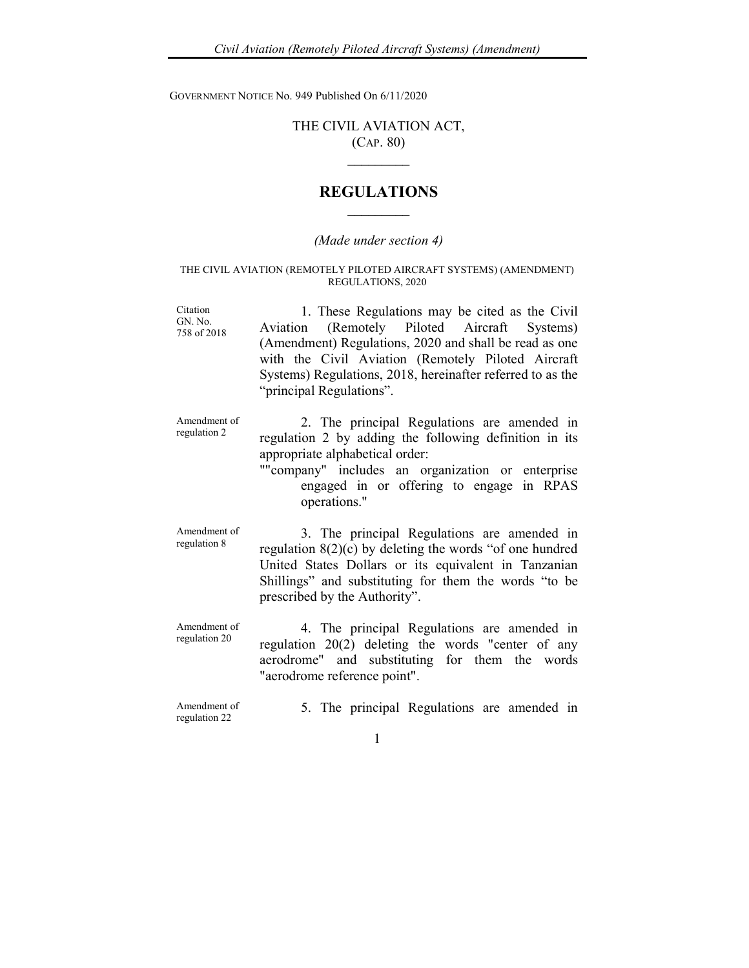GOVERNMENT NOTICE No. 949 Published On 6/11/2020

## THE CIVIL AVIATION ACT, (CAP. 80)

 $\overline{\phantom{a}}$ 

## REGULATIONS  $\overline{\phantom{a}}$

## (Made under section 4)

## THE CIVIL AVIATION (REMOTELY PILOTED AIRCRAFT SYSTEMS) (AMENDMENT) REGULATIONS, 2020

| Citation<br>GN. No.<br>758 of 2018 | 1. These Regulations may be cited as the Civil<br>Aviation (Remotely Piloted Aircraft Systems)<br>(Amendment) Regulations, 2020 and shall be read as one<br>with the Civil Aviation (Remotely Piloted Aircraft<br>Systems) Regulations, 2018, hereinafter referred to as the<br>"principal Regulations". |
|------------------------------------|----------------------------------------------------------------------------------------------------------------------------------------------------------------------------------------------------------------------------------------------------------------------------------------------------------|
| Amendment of<br>regulation 2       | 2. The principal Regulations are amended in<br>regulation 2 by adding the following definition in its<br>appropriate alphabetical order:<br>""company" includes an organization or enterprise<br>engaged in or offering to engage in RPAS<br>operations."                                                |
| Amendment of<br>regulation 8       | 3. The principal Regulations are amended in<br>regulation $8(2)(c)$ by deleting the words "of one hundred<br>United States Dollars or its equivalent in Tanzanian<br>Shillings" and substituting for them the words "to be<br>prescribed by the Authority".                                              |
| Amendment of<br>regulation 20      | 4. The principal Regulations are amended in<br>regulation 20(2) deleting the words "center of any<br>aerodrome" and substituting for them the words<br>"aerodrome reference point".                                                                                                                      |
| Amendment of<br>regulation 22      | 5. The principal Regulations are amended in                                                                                                                                                                                                                                                              |
|                                    | 1                                                                                                                                                                                                                                                                                                        |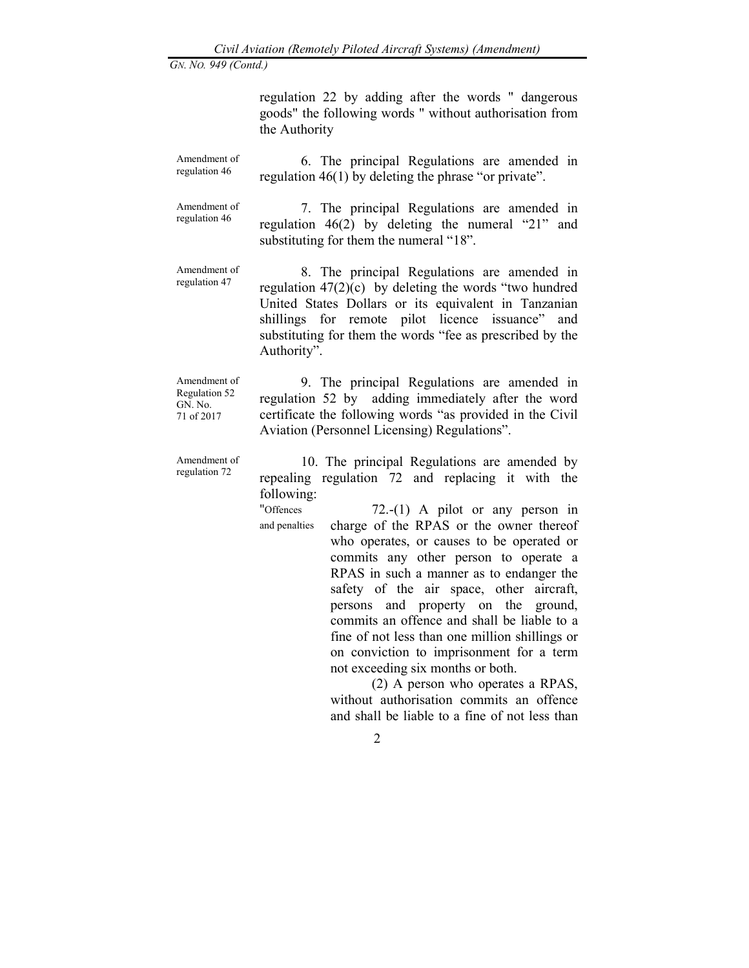GN. NO. 949 (Contd.)

regulation 22 by adding after the words " dangerous goods" the following words " without authorisation from the Authority

Amendment of regulation 46 6. The principal Regulations are amended in regulation 46(1) by deleting the phrase "or private".

Amendment of regulation 46 7. The principal Regulations are amended in regulation 46(2) by deleting the numeral "21" and substituting for them the numeral "18".

Amendment of regulation 47

 8. The principal Regulations are amended in regulation  $47(2)(c)$  by deleting the words "two hundred United States Dollars or its equivalent in Tanzanian shillings for remote pilot licence issuance" and substituting for them the words "fee as prescribed by the Authority".

Amendment of Regulation 52 GN. No. 71 of 2017

9. The principal Regulations are amended in regulation 52 by adding immediately after the word certificate the following words "as provided in the Civil Aviation (Personnel Licensing) Regulations".

Amendment of regulation 72 10. The principal Regulations are amended by repealing regulation 72 and replacing it with the following:

"Offences

and penalties 72.-(1) A pilot or any person in charge of the RPAS or the owner thereof who operates, or causes to be operated or commits any other person to operate a RPAS in such a manner as to endanger the safety of the air space, other aircraft, persons and property on the ground, commits an offence and shall be liable to a fine of not less than one million shillings or on conviction to imprisonment for a term not exceeding six months or both.

> (2) A person who operates a RPAS, without authorisation commits an offence and shall be liable to a fine of not less than

> > 2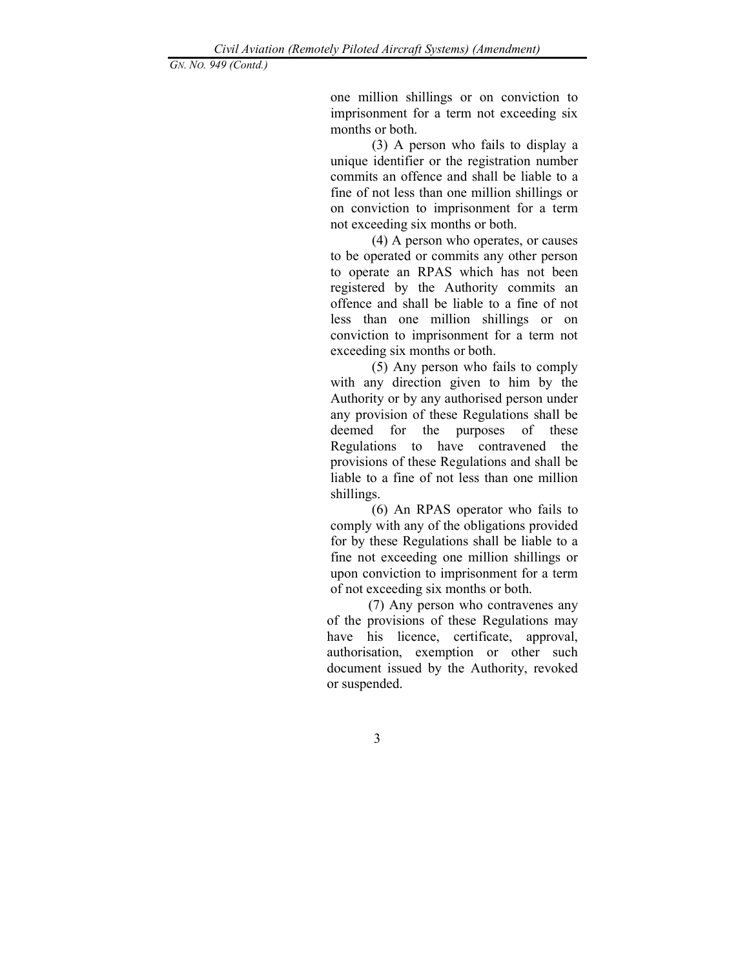GN. NO. 949 (Contd.)

one million shillings or on conviction to imprisonment for a term not exceeding six months or both.

 (3) A person who fails to display a unique identifier or the registration number commits an offence and shall be liable to a fine of not less than one million shillings or on conviction to imprisonment for a term not exceeding six months or both.

 (4) A person who operates, or causes to be operated or commits any other person to operate an RPAS which has not been registered by the Authority commits an offence and shall be liable to a fine of not less than one million shillings or on conviction to imprisonment for a term not exceeding six months or both.

(5) Any person who fails to comply with any direction given to him by the Authority or by any authorised person under any provision of these Regulations shall be deemed for the purposes of these Regulations to have contravened the provisions of these Regulations and shall be liable to a fine of not less than one million shillings.

(6) An RPAS operator who fails to comply with any of the obligations provided for by these Regulations shall be liable to a fine not exceeding one million shillings or upon conviction to imprisonment for a term of not exceeding six months or both.

 (7) Any person who contravenes any of the provisions of these Regulations may have his licence, certificate, approval, authorisation, exemption or other such document issued by the Authority, revoked or suspended.

3